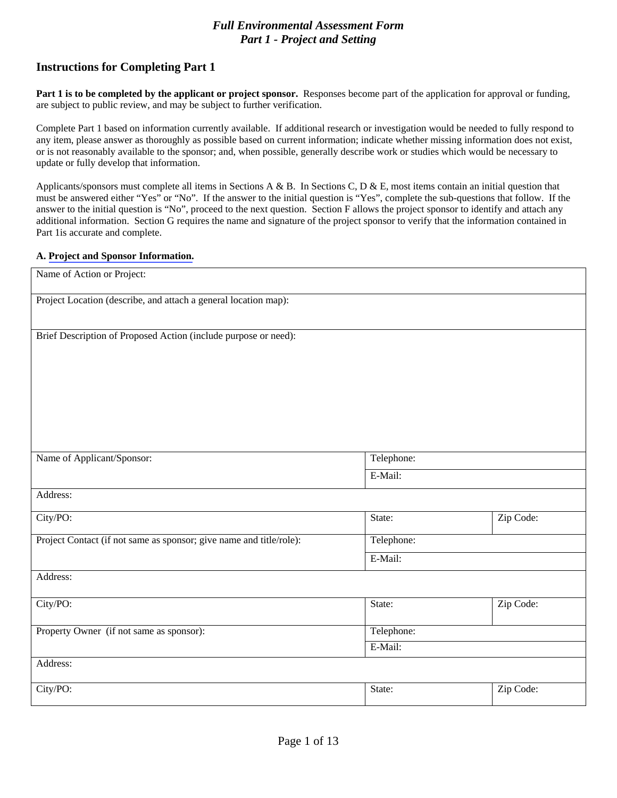# *Full Environmental Assessment Form Part 1 - Project and Setting*

# **Instructions for Completing Part 1**

**Part 1 is to be completed by the applicant or project sponsor.** Responses become part of the application for approval or funding, are subject to public review, and may be subject to further verification.

Complete Part 1 based on information currently available. If additional research or investigation would be needed to fully respond to any item, please answer as thoroughly as possible based on current information; indicate whether missing information does not exist, or is not reasonably available to the sponsor; and, when possible, generally describe work or studies which would be necessary to update or fully develop that information.

Applicants/sponsors must complete all items in Sections A & B. In Sections C, D & E, most items contain an initial question that must be answered either "Yes" or "No". If the answer to the initial question is "Yes", complete the sub-questions that follow. If the answer to the initial question is "No", proceed to the next question. Section F allows the project sponsor to identify and attach any additional information. Section G requires the name and signature of the project sponsor to verify that the information contained in Part 1is accurate and complete.

### **A. [Project and Sponsor Information.](http://www.dec.ny.gov/permits/91625.html)**

| Name of Action or Project:                                          |            |           |
|---------------------------------------------------------------------|------------|-----------|
| Project Location (describe, and attach a general location map):     |            |           |
| Brief Description of Proposed Action (include purpose or need):     |            |           |
| Name of Applicant/Sponsor:                                          | Telephone: |           |
|                                                                     | E-Mail:    |           |
| Address:                                                            |            |           |
| City/PO:                                                            | State:     | Zip Code: |
| Project Contact (if not same as sponsor; give name and title/role): | Telephone: |           |
|                                                                     | E-Mail:    |           |
| Address:                                                            |            |           |
| City/PO:                                                            | State:     | Zip Code: |
| Property Owner (if not same as sponsor):                            | Telephone: |           |
|                                                                     | E-Mail:    |           |
| Address:                                                            |            |           |
| City/PO:                                                            | State:     | Zip Code: |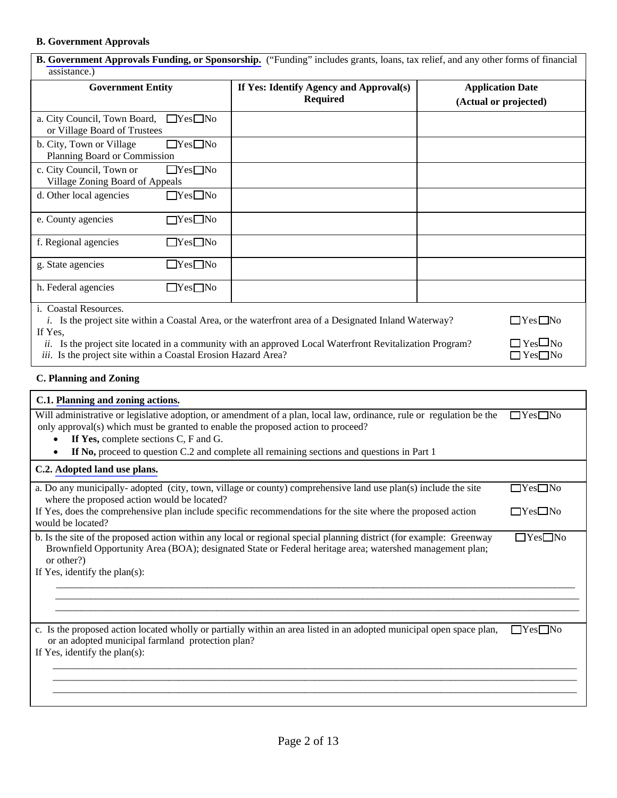## **B. Government Approvals**

.

| <b>B. Government Approvals Funding, or Sponsorship.</b> ("Funding" includes grants, loans, tax relief, and any other forms of financial<br>assistance.) |                                                                                                              |  |                                                  |  |
|---------------------------------------------------------------------------------------------------------------------------------------------------------|--------------------------------------------------------------------------------------------------------------|--|--------------------------------------------------|--|
| <b>Government Entity</b>                                                                                                                                | If Yes: Identify Agency and Approval(s)<br><b>Required</b>                                                   |  | <b>Application Date</b><br>(Actual or projected) |  |
| $\Box$ Yes $\Box$ No<br>a. City Council, Town Board,<br>or Village Board of Trustees                                                                    |                                                                                                              |  |                                                  |  |
| b. City, Town or Village<br>$\Box$ Yes $\Box$ No<br>Planning Board or Commission                                                                        |                                                                                                              |  |                                                  |  |
| $\Box$ Yes $\Box$ No<br>c. City Council, Town or<br>Village Zoning Board of Appeals                                                                     |                                                                                                              |  |                                                  |  |
| $\Box$ Yes $\Box$ No<br>d. Other local agencies                                                                                                         |                                                                                                              |  |                                                  |  |
| $\Box$ Yes $\Box$ No<br>e. County agencies                                                                                                              |                                                                                                              |  |                                                  |  |
| $\Box$ Yes $\Box$ No<br>f. Regional agencies                                                                                                            |                                                                                                              |  |                                                  |  |
| $\Box$ Yes $\Box$ No<br>g. State agencies                                                                                                               |                                                                                                              |  |                                                  |  |
| h. Federal agencies<br>$\Box$ Yes $\Box$ No<br>i. Coastal Resources.                                                                                    |                                                                                                              |  |                                                  |  |
|                                                                                                                                                         | <i>i.</i> Is the project site within a Coastal Area, or the waterfront area of a Designated Inland Waterway? |  | $\Box$ Yes $\Box$ No                             |  |
| If Yes,<br>ii.<br>iii. Is the project site within a Coastal Erosion Hazard Area?                                                                        | Is the project site located in a community with an approved Local Waterfront Revitalization Program?         |  | $\Box$ Yes $\Box$ No<br>$\Box$ Yes $\Box$ No     |  |

## **C. Planning and Zoning**

| C.1. Planning and zoning actions.                                                                                                                                                                                                                                                                                                               |                      |
|-------------------------------------------------------------------------------------------------------------------------------------------------------------------------------------------------------------------------------------------------------------------------------------------------------------------------------------------------|----------------------|
| Will administrative or legislative adoption, or amendment of a plan, local law, ordinance, rule or regulation be the<br>only approval(s) which must be granted to enable the proposed action to proceed?<br>If Yes, complete sections C, F and G.<br>If No, proceed to question C.2 and complete all remaining sections and questions in Part 1 | $\Box$ Yes $\Box$ No |
| C.2. Adopted land use plans.                                                                                                                                                                                                                                                                                                                    |                      |
| a. Do any municipally-adopted (city, town, village or county) comprehensive land use plan(s) include the site<br>where the proposed action would be located?                                                                                                                                                                                    | $\Box$ Yes $\Box$ No |
| If Yes, does the comprehensive plan include specific recommendations for the site where the proposed action<br>would be located?                                                                                                                                                                                                                | $\Box$ Yes $\Box$ No |
| b. Is the site of the proposed action within any local or regional special planning district (for example: Greenway<br>Brownfield Opportunity Area (BOA); designated State or Federal heritage area; watershed management plan;<br>or other?)<br>If Yes, identify the plan(s):                                                                  | $\Box$ Yes $\Box$ No |
|                                                                                                                                                                                                                                                                                                                                                 |                      |
| c. Is the proposed action located wholly or partially within an area listed in an adopted municipal open space plan,<br>or an adopted municipal farmland protection plan?<br>If Yes, identify the plan(s):                                                                                                                                      | $\Box$ Yes $\Box$ No |
|                                                                                                                                                                                                                                                                                                                                                 |                      |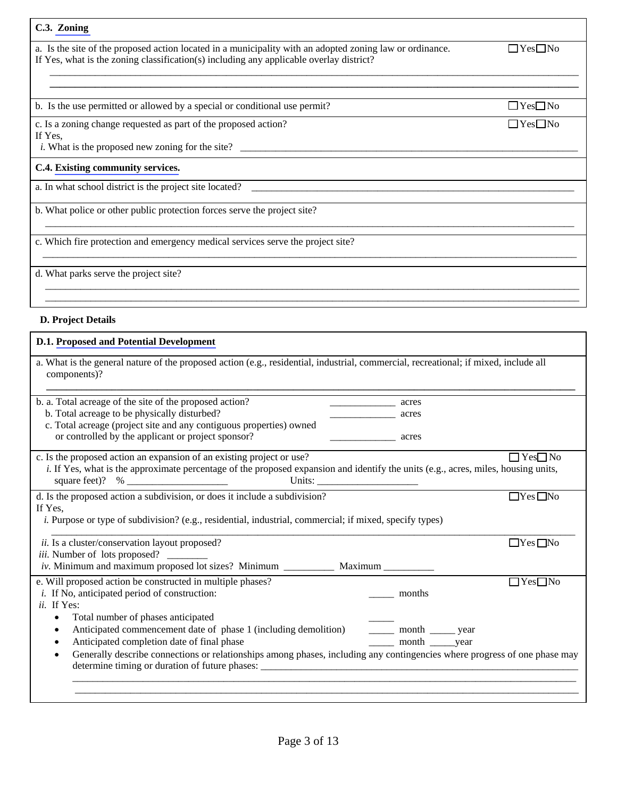| C.3. Zoning                                                                                                                                                                                         |                      |
|-----------------------------------------------------------------------------------------------------------------------------------------------------------------------------------------------------|----------------------|
| a. Is the site of the proposed action located in a municipality with an adopted zoning law or ordinance.<br>If Yes, what is the zoning classification(s) including any applicable overlay district? | $\Box$ Yes $\Box$ No |
|                                                                                                                                                                                                     |                      |
| b. Is the use permitted or allowed by a special or conditional use permit?                                                                                                                          | $\Box$ Yes $\Box$ No |
| c. Is a zoning change requested as part of the proposed action?<br>If Yes,<br><i>i</i> . What is the proposed new zoning for the site?                                                              | $\Box$ Yes $\Box$ No |
| C.4. Existing community services.                                                                                                                                                                   |                      |
| a. In what school district is the project site located?                                                                                                                                             |                      |
| b. What police or other public protection forces serve the project site?                                                                                                                            |                      |
| c. Which fire protection and emergency medical services serve the project site?                                                                                                                     |                      |
| d. What parks serve the project site?                                                                                                                                                               |                      |

# **D. Project Details**

# **D.1. [Proposed and Potential Development](http://www.dec.ny.gov/permits/91655.html)**

| a. What is the general nature of the proposed action (e.g., residential, industrial, commercial, recreational; if mixed, include all<br>components)? |                            |                      |
|------------------------------------------------------------------------------------------------------------------------------------------------------|----------------------------|----------------------|
| b. a. Total acreage of the site of the proposed action?                                                                                              | acres                      |                      |
| b. Total acreage to be physically disturbed?                                                                                                         | acres                      |                      |
| c. Total acreage (project site and any contiguous properties) owned                                                                                  |                            |                      |
| or controlled by the applicant or project sponsor?                                                                                                   | acres                      |                      |
| c. Is the proposed action an expansion of an existing project or use?                                                                                |                            | $\Box$ Yes $\Box$ No |
| i. If Yes, what is the approximate percentage of the proposed expansion and identify the units (e.g., acres, miles, housing units,<br>Units:         |                            |                      |
| d. Is the proposed action a subdivision, or does it include a subdivision?                                                                           |                            | $\Box$ Yes $\Box$ No |
| If Yes,                                                                                                                                              |                            |                      |
| i. Purpose or type of subdivision? (e.g., residential, industrial, commercial; if mixed, specify types)                                              |                            |                      |
| ii. Is a cluster/conservation layout proposed?                                                                                                       |                            | $\Box$ Yes $\Box$ No |
| <i>iii.</i> Number of lots proposed?                                                                                                                 |                            |                      |
|                                                                                                                                                      |                            |                      |
| e. Will proposed action be constructed in multiple phases?                                                                                           |                            | $\Box$ Yes $\Box$ No |
| <i>i</i> . If No, anticipated period of construction:                                                                                                | months                     |                      |
| ii. If Yes:                                                                                                                                          |                            |                      |
| Total number of phases anticipated<br>٠                                                                                                              |                            |                      |
| Anticipated commencement date of phase 1 (including demolition)<br>٠                                                                                 | _______ month _______ year |                      |
| Anticipated completion date of final phase                                                                                                           | month year                 |                      |
| Generally describe connections or relationships among phases, including any contingencies where progress of one phase may                            |                            |                      |
|                                                                                                                                                      |                            |                      |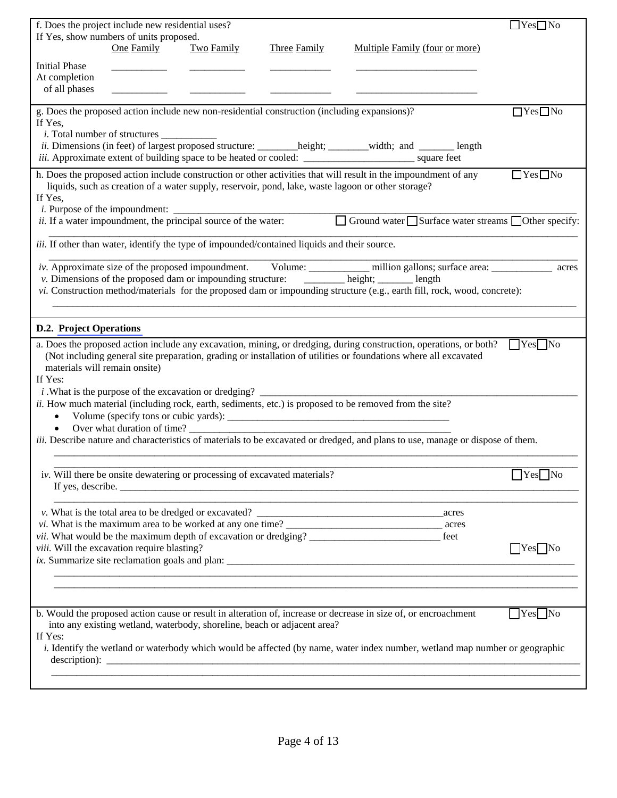|                                | f. Does the project include new residential uses?                                                                 |            |                                                                                                     |                                                                                                                                                                                                                                        | $\Box$ Yes $\Box$ No       |
|--------------------------------|-------------------------------------------------------------------------------------------------------------------|------------|-----------------------------------------------------------------------------------------------------|----------------------------------------------------------------------------------------------------------------------------------------------------------------------------------------------------------------------------------------|----------------------------|
|                                | If Yes, show numbers of units proposed.                                                                           |            |                                                                                                     |                                                                                                                                                                                                                                        |                            |
|                                | One Family                                                                                                        | Two Family | <b>Three Family</b>                                                                                 | Multiple Family (four or more)                                                                                                                                                                                                         |                            |
| <b>Initial Phase</b>           |                                                                                                                   |            |                                                                                                     |                                                                                                                                                                                                                                        |                            |
| At completion<br>of all phases |                                                                                                                   |            |                                                                                                     |                                                                                                                                                                                                                                        |                            |
|                                |                                                                                                                   |            |                                                                                                     |                                                                                                                                                                                                                                        |                            |
|                                |                                                                                                                   |            | g. Does the proposed action include new non-residential construction (including expansions)?        |                                                                                                                                                                                                                                        | $\Box$ Yes $\Box$ No       |
| If Yes,                        |                                                                                                                   |            |                                                                                                     |                                                                                                                                                                                                                                        |                            |
|                                |                                                                                                                   |            |                                                                                                     | ii. Dimensions (in feet) of largest proposed structure: _______height; ______width; and ______ length                                                                                                                                  |                            |
|                                |                                                                                                                   |            |                                                                                                     |                                                                                                                                                                                                                                        |                            |
|                                |                                                                                                                   |            |                                                                                                     | h. Does the proposed action include construction or other activities that will result in the impoundment of any                                                                                                                        | $\Box$ Yes $\Box$ No       |
|                                |                                                                                                                   |            |                                                                                                     | liquids, such as creation of a water supply, reservoir, pond, lake, waste lagoon or other storage?                                                                                                                                     |                            |
| If Yes,                        |                                                                                                                   |            |                                                                                                     |                                                                                                                                                                                                                                        |                            |
|                                | <i>i.</i> Purpose of the impoundment: $\frac{d}{dx}$ is 1 a water impoundment, the principal source of the water: |            |                                                                                                     | □ Ground water ■ Surface water streams ■ Other specify:                                                                                                                                                                                |                            |
|                                |                                                                                                                   |            | <i>iii.</i> If other than water, identify the type of impounded/contained liquids and their source. |                                                                                                                                                                                                                                        |                            |
|                                |                                                                                                                   |            |                                                                                                     |                                                                                                                                                                                                                                        |                            |
|                                |                                                                                                                   |            |                                                                                                     | iv. Approximate size of the proposed impoundment. Volume: ___________ million gallons; surface area: __________ acres<br>v. Dimensions of the proposed dam or impounding structure: _______ height; _____ length                       |                            |
|                                |                                                                                                                   |            |                                                                                                     | vi. Construction method/materials for the proposed dam or impounding structure (e.g., earth fill, rock, wood, concrete):                                                                                                               |                            |
|                                |                                                                                                                   |            |                                                                                                     |                                                                                                                                                                                                                                        |                            |
| <b>D.2. Project Operations</b> |                                                                                                                   |            |                                                                                                     |                                                                                                                                                                                                                                        |                            |
|                                |                                                                                                                   |            |                                                                                                     |                                                                                                                                                                                                                                        |                            |
|                                |                                                                                                                   |            |                                                                                                     | a. Does the proposed action include any excavation, mining, or dredging, during construction, operations, or both?<br>(Not including general site preparation, grading or installation of utilities or foundations where all excavated | <b>Test</b> No             |
| materials will remain onsite)  |                                                                                                                   |            |                                                                                                     |                                                                                                                                                                                                                                        |                            |
| If Yes:                        |                                                                                                                   |            |                                                                                                     |                                                                                                                                                                                                                                        |                            |
|                                |                                                                                                                   |            |                                                                                                     |                                                                                                                                                                                                                                        |                            |
|                                |                                                                                                                   |            |                                                                                                     | ii. How much material (including rock, earth, sediments, etc.) is proposed to be removed from the site?                                                                                                                                |                            |
| $\bullet$<br>$\bullet$         | Over what duration of time?                                                                                       |            |                                                                                                     | Volume (specify tons or cubic yards):                                                                                                                                                                                                  |                            |
|                                |                                                                                                                   |            |                                                                                                     | <i>iii.</i> Describe nature and characteristics of materials to be excavated or dredged, and plans to use, manage or dispose of them.                                                                                                  |                            |
|                                |                                                                                                                   |            |                                                                                                     |                                                                                                                                                                                                                                        |                            |
|                                | iv. Will there be onsite dewatering or processing of excavated materials?                                         |            |                                                                                                     |                                                                                                                                                                                                                                        | $\Box$ Yes $\Box$ No       |
|                                |                                                                                                                   |            |                                                                                                     |                                                                                                                                                                                                                                        |                            |
|                                |                                                                                                                   |            |                                                                                                     | <u> 1989 - Johann Barn, amerikan bernama di sebagai bernama di sebagai bernama di sebagai bernama di sebagai ber</u>                                                                                                                   |                            |
|                                |                                                                                                                   |            |                                                                                                     | acres                                                                                                                                                                                                                                  |                            |
|                                |                                                                                                                   |            |                                                                                                     | <i>vi</i> . What is the maximum area to be worked at any one time?<br>vii. What would be the maximum depth of excavation or dredging?                                                                                                  |                            |
|                                | viii. Will the excavation require blasting?                                                                       |            |                                                                                                     |                                                                                                                                                                                                                                        | $Yes$ No                   |
|                                |                                                                                                                   |            |                                                                                                     |                                                                                                                                                                                                                                        |                            |
|                                |                                                                                                                   |            |                                                                                                     |                                                                                                                                                                                                                                        |                            |
|                                |                                                                                                                   |            |                                                                                                     |                                                                                                                                                                                                                                        |                            |
|                                |                                                                                                                   |            |                                                                                                     | b. Would the proposed action cause or result in alteration of, increase or decrease in size of, or encroachment                                                                                                                        | $\bigcap$ Yes $\bigcap$ No |
|                                |                                                                                                                   |            | into any existing wetland, waterbody, shoreline, beach or adjacent area?                            |                                                                                                                                                                                                                                        |                            |
| If Yes:                        |                                                                                                                   |            |                                                                                                     |                                                                                                                                                                                                                                        |                            |
|                                |                                                                                                                   |            |                                                                                                     | i. Identify the wetland or waterbody which would be affected (by name, water index number, wetland map number or geographic                                                                                                            |                            |
|                                |                                                                                                                   |            |                                                                                                     |                                                                                                                                                                                                                                        |                            |
|                                |                                                                                                                   |            |                                                                                                     |                                                                                                                                                                                                                                        |                            |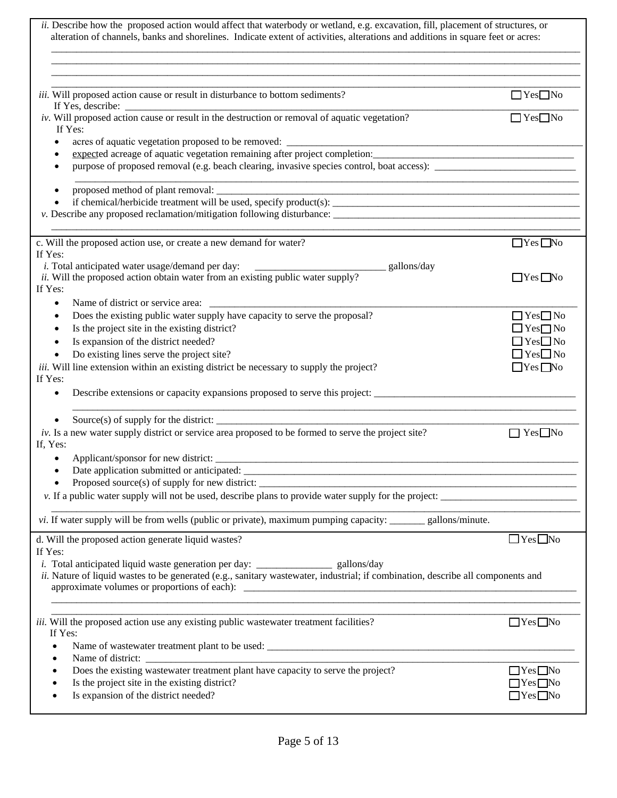| $\Box$ Yes $\Box$ No<br>iii. Will proposed action cause or result in disturbance to bottom sediments?<br>If Yes, describe:<br><i>iv.</i> Will proposed action cause or result in the destruction or removal of aquatic vegetation?<br>$\Box$ Yes $\Box$ No<br>If Yes:<br>acres of aquatic vegetation proposed to be removed:<br>expected acreage of aquatic vegetation remaining after project completion: ___________________________________<br>$\bullet$<br>c. Will the proposed action use, or create a new demand for water?<br>$\Box$ Yes $\Box$ No<br><i>i</i> . Total anticipated water usage/demand per day:<br>gallons/day<br>ii. Will the proposed action obtain water from an existing public water supply?<br>$\Box$ Yes $\Box$ No<br>If Yes:<br>$\bullet$<br>Does the existing public water supply have capacity to serve the proposal?<br>$\Box$ Yes $\Box$ No<br>$\bullet$<br>Is the project site in the existing district?<br>$\Box$ Yes $\Box$ No<br>$\bullet$<br>$\Box$ Yes $\Box$ No<br>Is expansion of the district needed?<br>$\bullet$<br>$\Box$ Yes $\Box$ No<br>Do existing lines serve the project site?<br>$\bullet$<br><i>iii.</i> Will line extension within an existing district be necessary to supply the project?<br>$\Box$ Yes $\Box$ No<br>If Yes:<br>Describe extensions or capacity expansions proposed to serve this project:<br>$\bullet$<br>$iv$ . Is a new water supply district or service area proposed to be formed to serve the project site?<br>$\Box$ Yes $\Box$ No<br>٠<br>vi. If water supply will be from wells (public or private), maximum pumping capacity: _______ gallons/minute.<br>$\Box$ Yes $\Box$ No<br>If Yes:<br><i>i</i> . Total anticipated liquid waste generation per day: ____________________ gallons/day<br>ii. Nature of liquid wastes to be generated (e.g., sanitary wastewater, industrial; if combination, describe all components and<br>$\Box$ Yes $\Box$ No<br>If Yes:<br>Does the existing wastewater treatment plant have capacity to serve the project?<br>$\Box$ Yes $\Box$ No<br>Is the project site in the existing district?<br>$\Box$ Yes $\Box$ No<br>Is expansion of the district needed?<br>$\Box$ Yes $\Box$ No | ii. Describe how the proposed action would affect that waterbody or wetland, e.g. excavation, fill, placement of structures, or<br>alteration of channels, banks and shorelines. Indicate extent of activities, alterations and additions in square feet or acres: |  |
|----------------------------------------------------------------------------------------------------------------------------------------------------------------------------------------------------------------------------------------------------------------------------------------------------------------------------------------------------------------------------------------------------------------------------------------------------------------------------------------------------------------------------------------------------------------------------------------------------------------------------------------------------------------------------------------------------------------------------------------------------------------------------------------------------------------------------------------------------------------------------------------------------------------------------------------------------------------------------------------------------------------------------------------------------------------------------------------------------------------------------------------------------------------------------------------------------------------------------------------------------------------------------------------------------------------------------------------------------------------------------------------------------------------------------------------------------------------------------------------------------------------------------------------------------------------------------------------------------------------------------------------------------------------------------------------------------------------------------------------------------------------------------------------------------------------------------------------------------------------------------------------------------------------------------------------------------------------------------------------------------------------------------------------------------------------------------------------------------------------------------------------------------------------------------------------------------------|--------------------------------------------------------------------------------------------------------------------------------------------------------------------------------------------------------------------------------------------------------------------|--|
|                                                                                                                                                                                                                                                                                                                                                                                                                                                                                                                                                                                                                                                                                                                                                                                                                                                                                                                                                                                                                                                                                                                                                                                                                                                                                                                                                                                                                                                                                                                                                                                                                                                                                                                                                                                                                                                                                                                                                                                                                                                                                                                                                                                                          |                                                                                                                                                                                                                                                                    |  |
|                                                                                                                                                                                                                                                                                                                                                                                                                                                                                                                                                                                                                                                                                                                                                                                                                                                                                                                                                                                                                                                                                                                                                                                                                                                                                                                                                                                                                                                                                                                                                                                                                                                                                                                                                                                                                                                                                                                                                                                                                                                                                                                                                                                                          |                                                                                                                                                                                                                                                                    |  |
|                                                                                                                                                                                                                                                                                                                                                                                                                                                                                                                                                                                                                                                                                                                                                                                                                                                                                                                                                                                                                                                                                                                                                                                                                                                                                                                                                                                                                                                                                                                                                                                                                                                                                                                                                                                                                                                                                                                                                                                                                                                                                                                                                                                                          |                                                                                                                                                                                                                                                                    |  |
|                                                                                                                                                                                                                                                                                                                                                                                                                                                                                                                                                                                                                                                                                                                                                                                                                                                                                                                                                                                                                                                                                                                                                                                                                                                                                                                                                                                                                                                                                                                                                                                                                                                                                                                                                                                                                                                                                                                                                                                                                                                                                                                                                                                                          |                                                                                                                                                                                                                                                                    |  |
|                                                                                                                                                                                                                                                                                                                                                                                                                                                                                                                                                                                                                                                                                                                                                                                                                                                                                                                                                                                                                                                                                                                                                                                                                                                                                                                                                                                                                                                                                                                                                                                                                                                                                                                                                                                                                                                                                                                                                                                                                                                                                                                                                                                                          |                                                                                                                                                                                                                                                                    |  |
|                                                                                                                                                                                                                                                                                                                                                                                                                                                                                                                                                                                                                                                                                                                                                                                                                                                                                                                                                                                                                                                                                                                                                                                                                                                                                                                                                                                                                                                                                                                                                                                                                                                                                                                                                                                                                                                                                                                                                                                                                                                                                                                                                                                                          |                                                                                                                                                                                                                                                                    |  |
|                                                                                                                                                                                                                                                                                                                                                                                                                                                                                                                                                                                                                                                                                                                                                                                                                                                                                                                                                                                                                                                                                                                                                                                                                                                                                                                                                                                                                                                                                                                                                                                                                                                                                                                                                                                                                                                                                                                                                                                                                                                                                                                                                                                                          |                                                                                                                                                                                                                                                                    |  |
|                                                                                                                                                                                                                                                                                                                                                                                                                                                                                                                                                                                                                                                                                                                                                                                                                                                                                                                                                                                                                                                                                                                                                                                                                                                                                                                                                                                                                                                                                                                                                                                                                                                                                                                                                                                                                                                                                                                                                                                                                                                                                                                                                                                                          |                                                                                                                                                                                                                                                                    |  |
|                                                                                                                                                                                                                                                                                                                                                                                                                                                                                                                                                                                                                                                                                                                                                                                                                                                                                                                                                                                                                                                                                                                                                                                                                                                                                                                                                                                                                                                                                                                                                                                                                                                                                                                                                                                                                                                                                                                                                                                                                                                                                                                                                                                                          |                                                                                                                                                                                                                                                                    |  |
|                                                                                                                                                                                                                                                                                                                                                                                                                                                                                                                                                                                                                                                                                                                                                                                                                                                                                                                                                                                                                                                                                                                                                                                                                                                                                                                                                                                                                                                                                                                                                                                                                                                                                                                                                                                                                                                                                                                                                                                                                                                                                                                                                                                                          |                                                                                                                                                                                                                                                                    |  |
|                                                                                                                                                                                                                                                                                                                                                                                                                                                                                                                                                                                                                                                                                                                                                                                                                                                                                                                                                                                                                                                                                                                                                                                                                                                                                                                                                                                                                                                                                                                                                                                                                                                                                                                                                                                                                                                                                                                                                                                                                                                                                                                                                                                                          | If Yes:                                                                                                                                                                                                                                                            |  |
|                                                                                                                                                                                                                                                                                                                                                                                                                                                                                                                                                                                                                                                                                                                                                                                                                                                                                                                                                                                                                                                                                                                                                                                                                                                                                                                                                                                                                                                                                                                                                                                                                                                                                                                                                                                                                                                                                                                                                                                                                                                                                                                                                                                                          |                                                                                                                                                                                                                                                                    |  |
|                                                                                                                                                                                                                                                                                                                                                                                                                                                                                                                                                                                                                                                                                                                                                                                                                                                                                                                                                                                                                                                                                                                                                                                                                                                                                                                                                                                                                                                                                                                                                                                                                                                                                                                                                                                                                                                                                                                                                                                                                                                                                                                                                                                                          |                                                                                                                                                                                                                                                                    |  |
|                                                                                                                                                                                                                                                                                                                                                                                                                                                                                                                                                                                                                                                                                                                                                                                                                                                                                                                                                                                                                                                                                                                                                                                                                                                                                                                                                                                                                                                                                                                                                                                                                                                                                                                                                                                                                                                                                                                                                                                                                                                                                                                                                                                                          |                                                                                                                                                                                                                                                                    |  |
|                                                                                                                                                                                                                                                                                                                                                                                                                                                                                                                                                                                                                                                                                                                                                                                                                                                                                                                                                                                                                                                                                                                                                                                                                                                                                                                                                                                                                                                                                                                                                                                                                                                                                                                                                                                                                                                                                                                                                                                                                                                                                                                                                                                                          |                                                                                                                                                                                                                                                                    |  |
|                                                                                                                                                                                                                                                                                                                                                                                                                                                                                                                                                                                                                                                                                                                                                                                                                                                                                                                                                                                                                                                                                                                                                                                                                                                                                                                                                                                                                                                                                                                                                                                                                                                                                                                                                                                                                                                                                                                                                                                                                                                                                                                                                                                                          |                                                                                                                                                                                                                                                                    |  |
|                                                                                                                                                                                                                                                                                                                                                                                                                                                                                                                                                                                                                                                                                                                                                                                                                                                                                                                                                                                                                                                                                                                                                                                                                                                                                                                                                                                                                                                                                                                                                                                                                                                                                                                                                                                                                                                                                                                                                                                                                                                                                                                                                                                                          |                                                                                                                                                                                                                                                                    |  |
|                                                                                                                                                                                                                                                                                                                                                                                                                                                                                                                                                                                                                                                                                                                                                                                                                                                                                                                                                                                                                                                                                                                                                                                                                                                                                                                                                                                                                                                                                                                                                                                                                                                                                                                                                                                                                                                                                                                                                                                                                                                                                                                                                                                                          |                                                                                                                                                                                                                                                                    |  |
|                                                                                                                                                                                                                                                                                                                                                                                                                                                                                                                                                                                                                                                                                                                                                                                                                                                                                                                                                                                                                                                                                                                                                                                                                                                                                                                                                                                                                                                                                                                                                                                                                                                                                                                                                                                                                                                                                                                                                                                                                                                                                                                                                                                                          |                                                                                                                                                                                                                                                                    |  |
|                                                                                                                                                                                                                                                                                                                                                                                                                                                                                                                                                                                                                                                                                                                                                                                                                                                                                                                                                                                                                                                                                                                                                                                                                                                                                                                                                                                                                                                                                                                                                                                                                                                                                                                                                                                                                                                                                                                                                                                                                                                                                                                                                                                                          |                                                                                                                                                                                                                                                                    |  |
|                                                                                                                                                                                                                                                                                                                                                                                                                                                                                                                                                                                                                                                                                                                                                                                                                                                                                                                                                                                                                                                                                                                                                                                                                                                                                                                                                                                                                                                                                                                                                                                                                                                                                                                                                                                                                                                                                                                                                                                                                                                                                                                                                                                                          |                                                                                                                                                                                                                                                                    |  |
|                                                                                                                                                                                                                                                                                                                                                                                                                                                                                                                                                                                                                                                                                                                                                                                                                                                                                                                                                                                                                                                                                                                                                                                                                                                                                                                                                                                                                                                                                                                                                                                                                                                                                                                                                                                                                                                                                                                                                                                                                                                                                                                                                                                                          |                                                                                                                                                                                                                                                                    |  |
|                                                                                                                                                                                                                                                                                                                                                                                                                                                                                                                                                                                                                                                                                                                                                                                                                                                                                                                                                                                                                                                                                                                                                                                                                                                                                                                                                                                                                                                                                                                                                                                                                                                                                                                                                                                                                                                                                                                                                                                                                                                                                                                                                                                                          | If, Yes:                                                                                                                                                                                                                                                           |  |
|                                                                                                                                                                                                                                                                                                                                                                                                                                                                                                                                                                                                                                                                                                                                                                                                                                                                                                                                                                                                                                                                                                                                                                                                                                                                                                                                                                                                                                                                                                                                                                                                                                                                                                                                                                                                                                                                                                                                                                                                                                                                                                                                                                                                          |                                                                                                                                                                                                                                                                    |  |
|                                                                                                                                                                                                                                                                                                                                                                                                                                                                                                                                                                                                                                                                                                                                                                                                                                                                                                                                                                                                                                                                                                                                                                                                                                                                                                                                                                                                                                                                                                                                                                                                                                                                                                                                                                                                                                                                                                                                                                                                                                                                                                                                                                                                          |                                                                                                                                                                                                                                                                    |  |
|                                                                                                                                                                                                                                                                                                                                                                                                                                                                                                                                                                                                                                                                                                                                                                                                                                                                                                                                                                                                                                                                                                                                                                                                                                                                                                                                                                                                                                                                                                                                                                                                                                                                                                                                                                                                                                                                                                                                                                                                                                                                                                                                                                                                          |                                                                                                                                                                                                                                                                    |  |
|                                                                                                                                                                                                                                                                                                                                                                                                                                                                                                                                                                                                                                                                                                                                                                                                                                                                                                                                                                                                                                                                                                                                                                                                                                                                                                                                                                                                                                                                                                                                                                                                                                                                                                                                                                                                                                                                                                                                                                                                                                                                                                                                                                                                          |                                                                                                                                                                                                                                                                    |  |
|                                                                                                                                                                                                                                                                                                                                                                                                                                                                                                                                                                                                                                                                                                                                                                                                                                                                                                                                                                                                                                                                                                                                                                                                                                                                                                                                                                                                                                                                                                                                                                                                                                                                                                                                                                                                                                                                                                                                                                                                                                                                                                                                                                                                          |                                                                                                                                                                                                                                                                    |  |
|                                                                                                                                                                                                                                                                                                                                                                                                                                                                                                                                                                                                                                                                                                                                                                                                                                                                                                                                                                                                                                                                                                                                                                                                                                                                                                                                                                                                                                                                                                                                                                                                                                                                                                                                                                                                                                                                                                                                                                                                                                                                                                                                                                                                          | d. Will the proposed action generate liquid wastes?                                                                                                                                                                                                                |  |
|                                                                                                                                                                                                                                                                                                                                                                                                                                                                                                                                                                                                                                                                                                                                                                                                                                                                                                                                                                                                                                                                                                                                                                                                                                                                                                                                                                                                                                                                                                                                                                                                                                                                                                                                                                                                                                                                                                                                                                                                                                                                                                                                                                                                          |                                                                                                                                                                                                                                                                    |  |
|                                                                                                                                                                                                                                                                                                                                                                                                                                                                                                                                                                                                                                                                                                                                                                                                                                                                                                                                                                                                                                                                                                                                                                                                                                                                                                                                                                                                                                                                                                                                                                                                                                                                                                                                                                                                                                                                                                                                                                                                                                                                                                                                                                                                          |                                                                                                                                                                                                                                                                    |  |
|                                                                                                                                                                                                                                                                                                                                                                                                                                                                                                                                                                                                                                                                                                                                                                                                                                                                                                                                                                                                                                                                                                                                                                                                                                                                                                                                                                                                                                                                                                                                                                                                                                                                                                                                                                                                                                                                                                                                                                                                                                                                                                                                                                                                          |                                                                                                                                                                                                                                                                    |  |
|                                                                                                                                                                                                                                                                                                                                                                                                                                                                                                                                                                                                                                                                                                                                                                                                                                                                                                                                                                                                                                                                                                                                                                                                                                                                                                                                                                                                                                                                                                                                                                                                                                                                                                                                                                                                                                                                                                                                                                                                                                                                                                                                                                                                          |                                                                                                                                                                                                                                                                    |  |
|                                                                                                                                                                                                                                                                                                                                                                                                                                                                                                                                                                                                                                                                                                                                                                                                                                                                                                                                                                                                                                                                                                                                                                                                                                                                                                                                                                                                                                                                                                                                                                                                                                                                                                                                                                                                                                                                                                                                                                                                                                                                                                                                                                                                          | iii. Will the proposed action use any existing public wastewater treatment facilities?                                                                                                                                                                             |  |
|                                                                                                                                                                                                                                                                                                                                                                                                                                                                                                                                                                                                                                                                                                                                                                                                                                                                                                                                                                                                                                                                                                                                                                                                                                                                                                                                                                                                                                                                                                                                                                                                                                                                                                                                                                                                                                                                                                                                                                                                                                                                                                                                                                                                          |                                                                                                                                                                                                                                                                    |  |
|                                                                                                                                                                                                                                                                                                                                                                                                                                                                                                                                                                                                                                                                                                                                                                                                                                                                                                                                                                                                                                                                                                                                                                                                                                                                                                                                                                                                                                                                                                                                                                                                                                                                                                                                                                                                                                                                                                                                                                                                                                                                                                                                                                                                          |                                                                                                                                                                                                                                                                    |  |
|                                                                                                                                                                                                                                                                                                                                                                                                                                                                                                                                                                                                                                                                                                                                                                                                                                                                                                                                                                                                                                                                                                                                                                                                                                                                                                                                                                                                                                                                                                                                                                                                                                                                                                                                                                                                                                                                                                                                                                                                                                                                                                                                                                                                          |                                                                                                                                                                                                                                                                    |  |
|                                                                                                                                                                                                                                                                                                                                                                                                                                                                                                                                                                                                                                                                                                                                                                                                                                                                                                                                                                                                                                                                                                                                                                                                                                                                                                                                                                                                                                                                                                                                                                                                                                                                                                                                                                                                                                                                                                                                                                                                                                                                                                                                                                                                          |                                                                                                                                                                                                                                                                    |  |
|                                                                                                                                                                                                                                                                                                                                                                                                                                                                                                                                                                                                                                                                                                                                                                                                                                                                                                                                                                                                                                                                                                                                                                                                                                                                                                                                                                                                                                                                                                                                                                                                                                                                                                                                                                                                                                                                                                                                                                                                                                                                                                                                                                                                          |                                                                                                                                                                                                                                                                    |  |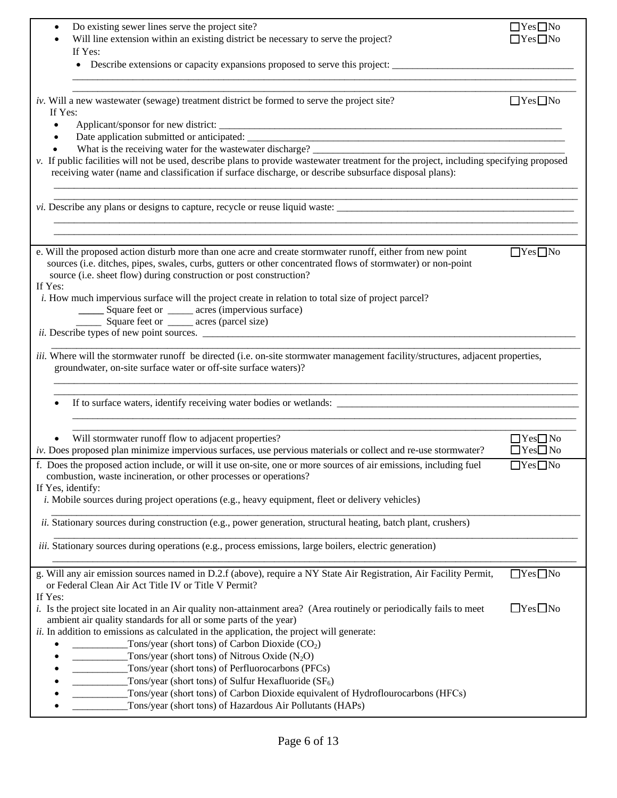| Do existing sewer lines serve the project site?                                                                                                                                                                                                                                                             | $\Box$ Yes $\Box$ No                         |
|-------------------------------------------------------------------------------------------------------------------------------------------------------------------------------------------------------------------------------------------------------------------------------------------------------------|----------------------------------------------|
| Will line extension within an existing district be necessary to serve the project?                                                                                                                                                                                                                          | $\Box$ Yes $\Box$ No                         |
| If Yes:<br>Describe extensions or capacity expansions proposed to serve this project:                                                                                                                                                                                                                       |                                              |
|                                                                                                                                                                                                                                                                                                             |                                              |
| iv. Will a new wastewater (sewage) treatment district be formed to serve the project site?<br>If Yes:                                                                                                                                                                                                       | $\Box$ Yes $\Box$ No                         |
|                                                                                                                                                                                                                                                                                                             |                                              |
|                                                                                                                                                                                                                                                                                                             |                                              |
| What is the receiving water for the wastewater discharge?<br>v. If public facilities will not be used, describe plans to provide wastewater treatment for the project, including specifying proposed                                                                                                        |                                              |
| receiving water (name and classification if surface discharge, or describe subsurface disposal plans):                                                                                                                                                                                                      |                                              |
|                                                                                                                                                                                                                                                                                                             |                                              |
|                                                                                                                                                                                                                                                                                                             |                                              |
| e. Will the proposed action disturb more than one acre and create stormwater runoff, either from new point<br>sources (i.e. ditches, pipes, swales, curbs, gutters or other concentrated flows of stormwater) or non-point<br>source (i.e. sheet flow) during construction or post construction?<br>If Yes: | $\Box$ Yes $\Box$ No                         |
| <i>i.</i> How much impervious surface will the project create in relation to total size of project parcel?                                                                                                                                                                                                  |                                              |
| Square feet or ______ acres (impervious surface)<br>Square feet or ______ acres (parcel size)                                                                                                                                                                                                               |                                              |
|                                                                                                                                                                                                                                                                                                             |                                              |
|                                                                                                                                                                                                                                                                                                             |                                              |
| iii. Where will the stormwater runoff be directed (i.e. on-site stormwater management facility/structures, adjacent properties,<br>groundwater, on-site surface water or off-site surface waters)?                                                                                                          |                                              |
|                                                                                                                                                                                                                                                                                                             |                                              |
| Will stormwater runoff flow to adjacent properties?<br>iv. Does proposed plan minimize impervious surfaces, use pervious materials or collect and re-use stormwater?                                                                                                                                        | $\Box$ Yes $\Box$ No<br>$\Box$ Yes $\Box$ No |
| f. Does the proposed action include, or will it use on-site, one or more sources of air emissions, including fuel<br>combustion, waste incineration, or other processes or operations?                                                                                                                      | $\Box$ Yes $\Box$ No                         |
| If Yes, identify:<br><i>i.</i> Mobile sources during project operations (e.g., heavy equipment, fleet or delivery vehicles)                                                                                                                                                                                 |                                              |
| <i>ii.</i> Stationary sources during construction (e.g., power generation, structural heating, batch plant, crushers)                                                                                                                                                                                       |                                              |
| <i>iii.</i> Stationary sources during operations (e.g., process emissions, large boilers, electric generation)                                                                                                                                                                                              |                                              |
| g. Will any air emission sources named in D.2.f (above), require a NY State Air Registration, Air Facility Permit,<br>or Federal Clean Air Act Title IV or Title V Permit?<br>If Yes:                                                                                                                       | $\Box$ Yes $\Box$ No                         |
| <i>i.</i> Is the project site located in an Air quality non-attainment area? (Area routinely or periodically fails to meet<br>ambient air quality standards for all or some parts of the year)                                                                                                              | $\Box$ Yes $\Box$ No                         |
| ii. In addition to emissions as calculated in the application, the project will generate:<br>Tons/year (short tons) of Carbon Dioxide $(CO2)$                                                                                                                                                               |                                              |
| Tons/year (short tons) of Nitrous Oxide $(N_2O)$                                                                                                                                                                                                                                                            |                                              |
| Tons/year (short tons) of Perfluorocarbons (PFCs)                                                                                                                                                                                                                                                           |                                              |
| Tons/year (short tons) of Sulfur Hexafluoride $(SF_6)$                                                                                                                                                                                                                                                      |                                              |
| Tons/year (short tons) of Carbon Dioxide equivalent of Hydroflourocarbons (HFCs)<br>Tons/year (short tons) of Hazardous Air Pollutants (HAPs)                                                                                                                                                               |                                              |
|                                                                                                                                                                                                                                                                                                             |                                              |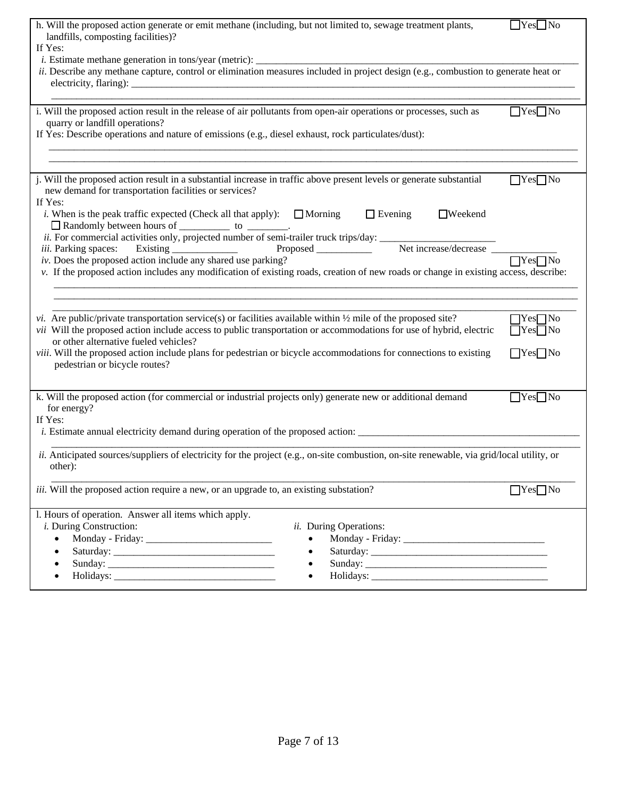| h. Will the proposed action generate or emit methane (including, but not limited to, sewage treatment plants,<br>landfills, composting facilities)?                                                                                                                                                                                                                                                                                                  | $\Box$ Yes $\Box$ No                                                 |
|------------------------------------------------------------------------------------------------------------------------------------------------------------------------------------------------------------------------------------------------------------------------------------------------------------------------------------------------------------------------------------------------------------------------------------------------------|----------------------------------------------------------------------|
| If Yes:                                                                                                                                                                                                                                                                                                                                                                                                                                              |                                                                      |
| ii. Describe any methane capture, control or elimination measures included in project design (e.g., combustion to generate heat or                                                                                                                                                                                                                                                                                                                   |                                                                      |
| i. Will the proposed action result in the release of air pollutants from open-air operations or processes, such as                                                                                                                                                                                                                                                                                                                                   | $Yes$ No                                                             |
| quarry or landfill operations?<br>If Yes: Describe operations and nature of emissions (e.g., diesel exhaust, rock particulates/dust):                                                                                                                                                                                                                                                                                                                |                                                                      |
| j. Will the proposed action result in a substantial increase in traffic above present levels or generate substantial<br>new demand for transportation facilities or services?<br>If Yes:                                                                                                                                                                                                                                                             | $\Box$ Yes $\Box$ No                                                 |
| $\Box$ Evening<br><i>i</i> . When is the peak traffic expected (Check all that apply): $\Box$ Morning<br>$\Box$ Weekend                                                                                                                                                                                                                                                                                                                              |                                                                      |
| iv. Does the proposed action include any shared use parking?<br>v. If the proposed action includes any modification of existing roads, creation of new roads or change in existing access, describe:                                                                                                                                                                                                                                                 |                                                                      |
| <i>vi.</i> Are public/private transportation service(s) or facilities available within $\frac{1}{2}$ mile of the proposed site?<br>vii Will the proposed action include access to public transportation or accommodations for use of hybrid, electric<br>or other alternative fueled vehicles?<br>viii. Will the proposed action include plans for pedestrian or bicycle accommodations for connections to existing<br>pedestrian or bicycle routes? | $\Box$ Yes $\Box$ No<br>$\Box$ Yes $\Box$ No<br>$\Box$ Yes $\Box$ No |
| k. Will the proposed action (for commercial or industrial projects only) generate new or additional demand<br>for energy?<br>If Yes:                                                                                                                                                                                                                                                                                                                 | $\Box$ Yes $\Box$ No                                                 |
| ii. Anticipated sources/suppliers of electricity for the project (e.g., on-site combustion, on-site renewable, via grid/local utility, or<br>other):                                                                                                                                                                                                                                                                                                 |                                                                      |
| <i>iii.</i> Will the proposed action require a new, or an upgrade to, an existing substation?                                                                                                                                                                                                                                                                                                                                                        | $\Box$ Yes $\Box$ No                                                 |
| l. Hours of operation. Answer all items which apply.<br><i>i</i> . During Construction:<br>ii. During Operations:<br>$\bullet$                                                                                                                                                                                                                                                                                                                       |                                                                      |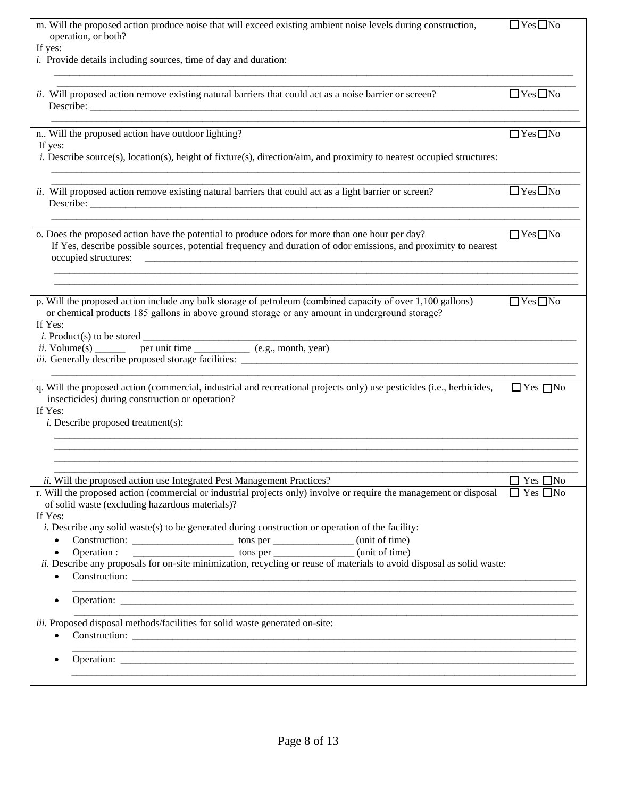| operation, or both?<br>If yes:<br><i>i.</i> Provide details including sources, time of day and duration:<br>$\Box$ Yes $\Box$ No<br>ii. Will proposed action remove existing natural barriers that could act as a noise barrier or screen?<br>$\Box$ Yes $\Box$ No<br>n Will the proposed action have outdoor lighting?<br>If yes:<br><i>i.</i> Describe source(s), location(s), height of fixture(s), direction/aim, and proximity to nearest occupied structures:<br>$\Box$ Yes $\Box$ No<br>ii. Will proposed action remove existing natural barriers that could act as a light barrier or screen?<br>Describe:<br><u> 1980 - Jan James James Barnett, fransk politik (d. 1980)</u> |
|----------------------------------------------------------------------------------------------------------------------------------------------------------------------------------------------------------------------------------------------------------------------------------------------------------------------------------------------------------------------------------------------------------------------------------------------------------------------------------------------------------------------------------------------------------------------------------------------------------------------------------------------------------------------------------------|
|                                                                                                                                                                                                                                                                                                                                                                                                                                                                                                                                                                                                                                                                                        |
|                                                                                                                                                                                                                                                                                                                                                                                                                                                                                                                                                                                                                                                                                        |
|                                                                                                                                                                                                                                                                                                                                                                                                                                                                                                                                                                                                                                                                                        |
|                                                                                                                                                                                                                                                                                                                                                                                                                                                                                                                                                                                                                                                                                        |
|                                                                                                                                                                                                                                                                                                                                                                                                                                                                                                                                                                                                                                                                                        |
|                                                                                                                                                                                                                                                                                                                                                                                                                                                                                                                                                                                                                                                                                        |
|                                                                                                                                                                                                                                                                                                                                                                                                                                                                                                                                                                                                                                                                                        |
|                                                                                                                                                                                                                                                                                                                                                                                                                                                                                                                                                                                                                                                                                        |
|                                                                                                                                                                                                                                                                                                                                                                                                                                                                                                                                                                                                                                                                                        |
| $\Box$ Yes $\Box$ No                                                                                                                                                                                                                                                                                                                                                                                                                                                                                                                                                                                                                                                                   |
| o. Does the proposed action have the potential to produce odors for more than one hour per day?<br>If Yes, describe possible sources, potential frequency and duration of odor emissions, and proximity to nearest                                                                                                                                                                                                                                                                                                                                                                                                                                                                     |
| occupied structures:                                                                                                                                                                                                                                                                                                                                                                                                                                                                                                                                                                                                                                                                   |
|                                                                                                                                                                                                                                                                                                                                                                                                                                                                                                                                                                                                                                                                                        |
| p. Will the proposed action include any bulk storage of petroleum (combined capacity of over 1,100 gallons)<br>$\Box$ Yes $\Box$ No                                                                                                                                                                                                                                                                                                                                                                                                                                                                                                                                                    |
| or chemical products 185 gallons in above ground storage or any amount in underground storage?<br>If Yes:                                                                                                                                                                                                                                                                                                                                                                                                                                                                                                                                                                              |
| <i>i</i> . Product(s) to be stored $\overline{\phantom{a}}$<br>$d \nvert$ per unit time $\frac{1}{\text{per unit time}}$ (e.g., month, year)                                                                                                                                                                                                                                                                                                                                                                                                                                                                                                                                           |
|                                                                                                                                                                                                                                                                                                                                                                                                                                                                                                                                                                                                                                                                                        |
|                                                                                                                                                                                                                                                                                                                                                                                                                                                                                                                                                                                                                                                                                        |
| q. Will the proposed action (commercial, industrial and recreational projects only) use pesticides (i.e., herbicides,<br>$\Box$ Yes $\Box$ No<br>insecticides) during construction or operation?                                                                                                                                                                                                                                                                                                                                                                                                                                                                                       |
| If Yes:                                                                                                                                                                                                                                                                                                                                                                                                                                                                                                                                                                                                                                                                                |
| <i>i</i> . Describe proposed treatment(s):                                                                                                                                                                                                                                                                                                                                                                                                                                                                                                                                                                                                                                             |
|                                                                                                                                                                                                                                                                                                                                                                                                                                                                                                                                                                                                                                                                                        |
|                                                                                                                                                                                                                                                                                                                                                                                                                                                                                                                                                                                                                                                                                        |
| $\Box$ Yes $\Box$ No<br>ii. Will the proposed action use Integrated Pest Management Practices?<br>r. Will the proposed action (commercial or industrial projects only) involve or require the management or disposal<br>$\Box$ Yes $\Box$ No                                                                                                                                                                                                                                                                                                                                                                                                                                           |
| of solid waste (excluding hazardous materials)?                                                                                                                                                                                                                                                                                                                                                                                                                                                                                                                                                                                                                                        |
| If Yes:<br><i>i.</i> Describe any solid waste(s) to be generated during construction or operation of the facility:                                                                                                                                                                                                                                                                                                                                                                                                                                                                                                                                                                     |
| $\bullet$                                                                                                                                                                                                                                                                                                                                                                                                                                                                                                                                                                                                                                                                              |
| $\bullet$<br>ii. Describe any proposals for on-site minimization, recycling or reuse of materials to avoid disposal as solid waste:                                                                                                                                                                                                                                                                                                                                                                                                                                                                                                                                                    |
| $\bullet$                                                                                                                                                                                                                                                                                                                                                                                                                                                                                                                                                                                                                                                                              |
| $\bullet$                                                                                                                                                                                                                                                                                                                                                                                                                                                                                                                                                                                                                                                                              |
|                                                                                                                                                                                                                                                                                                                                                                                                                                                                                                                                                                                                                                                                                        |
| iii. Proposed disposal methods/facilities for solid waste generated on-site:                                                                                                                                                                                                                                                                                                                                                                                                                                                                                                                                                                                                           |
|                                                                                                                                                                                                                                                                                                                                                                                                                                                                                                                                                                                                                                                                                        |
|                                                                                                                                                                                                                                                                                                                                                                                                                                                                                                                                                                                                                                                                                        |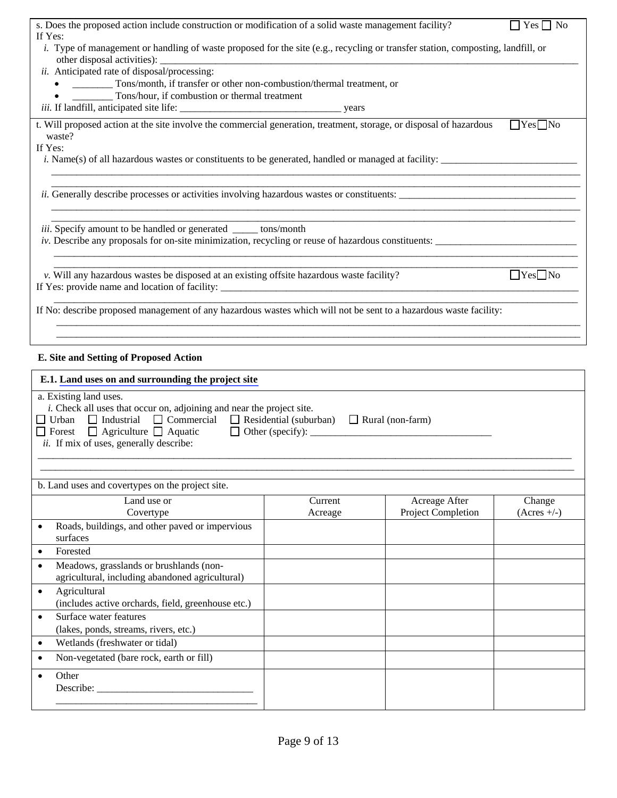| s. Does the proposed action include construction or modification of a solid waste management facility?                                                    |                                                                                                                                            |                    | $\Box$ Yes $\Box$ No |  |
|-----------------------------------------------------------------------------------------------------------------------------------------------------------|--------------------------------------------------------------------------------------------------------------------------------------------|--------------------|----------------------|--|
|                                                                                                                                                           | If Yes:<br>i. Type of management or handling of waste proposed for the site (e.g., recycling or transfer station, composting, landfill, or |                    |                      |  |
| ii. Anticipated rate of disposal/processing:                                                                                                              |                                                                                                                                            |                    |                      |  |
| • ___________ Tons/month, if transfer or other non-combustion/thermal treatment, or                                                                       |                                                                                                                                            |                    |                      |  |
|                                                                                                                                                           |                                                                                                                                            |                    |                      |  |
|                                                                                                                                                           |                                                                                                                                            |                    |                      |  |
| t. Will proposed action at the site involve the commercial generation, treatment, storage, or disposal of hazardous                                       |                                                                                                                                            |                    | $Yes$ No             |  |
| waste?<br>If Yes:                                                                                                                                         |                                                                                                                                            |                    |                      |  |
| <i>i.</i> Name(s) of all hazardous wastes or constituents to be generated, handled or managed at facility:                                                |                                                                                                                                            |                    |                      |  |
|                                                                                                                                                           |                                                                                                                                            |                    |                      |  |
| <i>ii.</i> Generally describe processes or activities involving hazardous wastes or constituents:                                                         |                                                                                                                                            |                    |                      |  |
|                                                                                                                                                           |                                                                                                                                            |                    |                      |  |
|                                                                                                                                                           |                                                                                                                                            |                    |                      |  |
| iii. Specify amount to be handled or generated ______ tons/month                                                                                          |                                                                                                                                            |                    |                      |  |
| iv. Describe any proposals for on-site minimization, recycling or reuse of hazardous constituents:                                                        |                                                                                                                                            |                    |                      |  |
|                                                                                                                                                           |                                                                                                                                            |                    |                      |  |
| v. Will any hazardous wastes be disposed at an existing offsite hazardous waste facility?                                                                 |                                                                                                                                            |                    | $\Box$ Yes $\Box$ No |  |
|                                                                                                                                                           |                                                                                                                                            |                    |                      |  |
| If No: describe proposed management of any hazardous wastes which will not be sent to a hazardous waste facility:                                         |                                                                                                                                            |                    |                      |  |
|                                                                                                                                                           |                                                                                                                                            |                    |                      |  |
|                                                                                                                                                           |                                                                                                                                            |                    |                      |  |
| E. Site and Setting of Proposed Action                                                                                                                    |                                                                                                                                            |                    |                      |  |
| E.1. Land uses on and surrounding the project site                                                                                                        |                                                                                                                                            |                    |                      |  |
| a. Existing land uses.                                                                                                                                    |                                                                                                                                            |                    |                      |  |
| i. Check all uses that occur on, adjoining and near the project site.                                                                                     |                                                                                                                                            |                    |                      |  |
| $\Box$ Urban $\Box$ Industrial $\Box$ Commercial $\Box$ Residential (suburban) $\Box$ Rural (non-farm)<br>$\Box$ Forest $\Box$ Agriculture $\Box$ Aquatic | $\Box$ Other (specify): $\Box$                                                                                                             |                    |                      |  |
| <i>ii.</i> If mix of uses, generally describe:                                                                                                            |                                                                                                                                            |                    |                      |  |
|                                                                                                                                                           |                                                                                                                                            |                    |                      |  |
|                                                                                                                                                           |                                                                                                                                            |                    |                      |  |
| b. Land uses and covertypes on the project site.                                                                                                          |                                                                                                                                            |                    |                      |  |
| Land use or                                                                                                                                               | Current                                                                                                                                    | Acreage After      | Change               |  |
| Covertype                                                                                                                                                 | Acreage                                                                                                                                    | Project Completion | $(Acres +/-)$        |  |
| Roads, buildings, and other paved or impervious                                                                                                           |                                                                                                                                            |                    |                      |  |
| surfaces                                                                                                                                                  |                                                                                                                                            |                    |                      |  |
| Forested<br>$\bullet$<br>Meadows, grasslands or brushlands (non-                                                                                          |                                                                                                                                            |                    |                      |  |
| $\bullet$<br>agricultural, including abandoned agricultural)                                                                                              |                                                                                                                                            |                    |                      |  |
| Agricultural<br>$\bullet$                                                                                                                                 |                                                                                                                                            |                    |                      |  |
| (includes active orchards, field, greenhouse etc.)                                                                                                        |                                                                                                                                            |                    |                      |  |
| Surface water features<br>$\bullet$                                                                                                                       |                                                                                                                                            |                    |                      |  |
| (lakes, ponds, streams, rivers, etc.)                                                                                                                     |                                                                                                                                            |                    |                      |  |
| Wetlands (freshwater or tidal)<br>$\bullet$                                                                                                               |                                                                                                                                            |                    |                      |  |
| Non-vegetated (bare rock, earth or fill)<br>$\bullet$                                                                                                     |                                                                                                                                            |                    |                      |  |
| Other<br>$\bullet$                                                                                                                                        |                                                                                                                                            |                    |                      |  |
| Describe:                                                                                                                                                 |                                                                                                                                            |                    |                      |  |

\_\_\_\_\_\_\_\_\_\_\_\_\_\_\_\_\_\_\_\_\_\_\_\_\_\_\_\_\_\_\_\_\_\_\_\_\_\_\_\_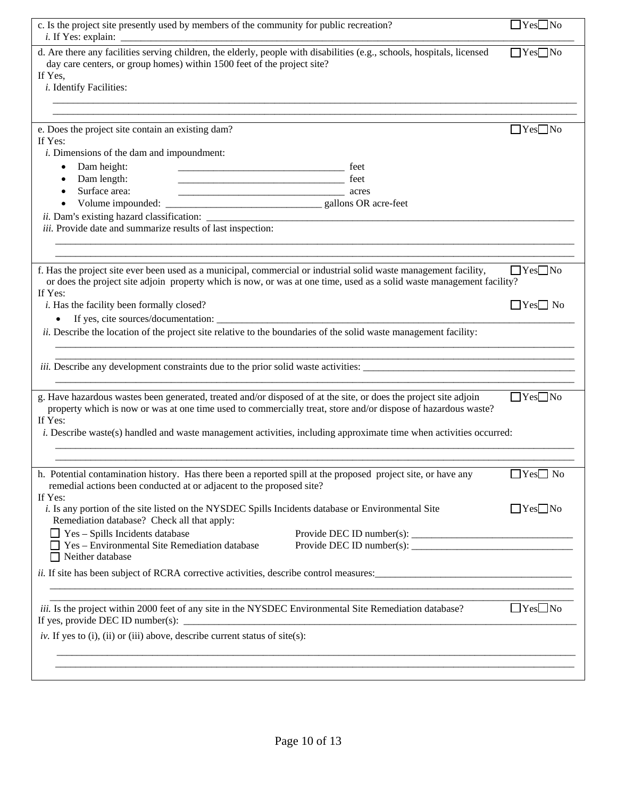| c. Is the project site presently used by members of the community for public recreation?                                                                                                                                                             | $\Box$ Yes $\Box$ No |
|------------------------------------------------------------------------------------------------------------------------------------------------------------------------------------------------------------------------------------------------------|----------------------|
| d. Are there any facilities serving children, the elderly, people with disabilities (e.g., schools, hospitals, licensed<br>day care centers, or group homes) within 1500 feet of the project site?<br>If Yes,<br><i>i</i> . Identify Facilities:     | $Yes$ No             |
|                                                                                                                                                                                                                                                      |                      |
| e. Does the project site contain an existing dam?<br>If Yes:<br><i>i</i> . Dimensions of the dam and impoundment:                                                                                                                                    | $\Box$ Yes $\Box$ No |
| Dam height:<br>Dam length:                                                                                                                                                                                                                           |                      |
| Surface area:<br>$\bullet$                                                                                                                                                                                                                           |                      |
| iii. Provide date and summarize results of last inspection:                                                                                                                                                                                          |                      |
|                                                                                                                                                                                                                                                      |                      |
| f. Has the project site ever been used as a municipal, commercial or industrial solid waste management facility,<br>or does the project site adjoin property which is now, or was at one time, used as a solid waste management facility?<br>If Yes: | $\Box$ Yes $\Box$ No |
| <i>i</i> . Has the facility been formally closed?                                                                                                                                                                                                    | $\Box$ Yes $\Box$ No |
| $\bullet$<br>ii. Describe the location of the project site relative to the boundaries of the solid waste management facility:                                                                                                                        |                      |
|                                                                                                                                                                                                                                                      |                      |
|                                                                                                                                                                                                                                                      |                      |
| g. Have hazardous wastes been generated, treated and/or disposed of at the site, or does the project site adjoin<br>property which is now or was at one time used to commercially treat, store and/or dispose of hazardous waste?<br>If Yes:         | $\Box$ Yes $\Box$ No |
| <i>i.</i> Describe waste(s) handled and waste management activities, including approximate time when activities occurred:                                                                                                                            |                      |
|                                                                                                                                                                                                                                                      |                      |
| h. Potential contamination history. Has there been a reported spill at the proposed project site, or have any<br>remedial actions been conducted at or adjacent to the proposed site?<br>If Yes:                                                     | $\Box$ Yes $\Box$ No |
| i. Is any portion of the site listed on the NYSDEC Spills Incidents database or Environmental Site<br>Remediation database? Check all that apply:                                                                                                    | $\Box$ Yes $\Box$ No |
| $\Box$ Yes – Spills Incidents database                                                                                                                                                                                                               |                      |
| $\Box$ Yes – Environmental Site Remediation database<br>$\Box$ Neither database                                                                                                                                                                      |                      |
| <i>ii.</i> If site has been subject of RCRA corrective activities, describe control measures:                                                                                                                                                        |                      |
| <i>iii.</i> Is the project within 2000 feet of any site in the NYSDEC Environmental Site Remediation database?<br>If yes, provide DEC ID number(s):                                                                                                  | $\Box$ Yes $\Box$ No |
| iv. If yes to (i), (ii) or (iii) above, describe current status of site(s):                                                                                                                                                                          |                      |
|                                                                                                                                                                                                                                                      |                      |
|                                                                                                                                                                                                                                                      |                      |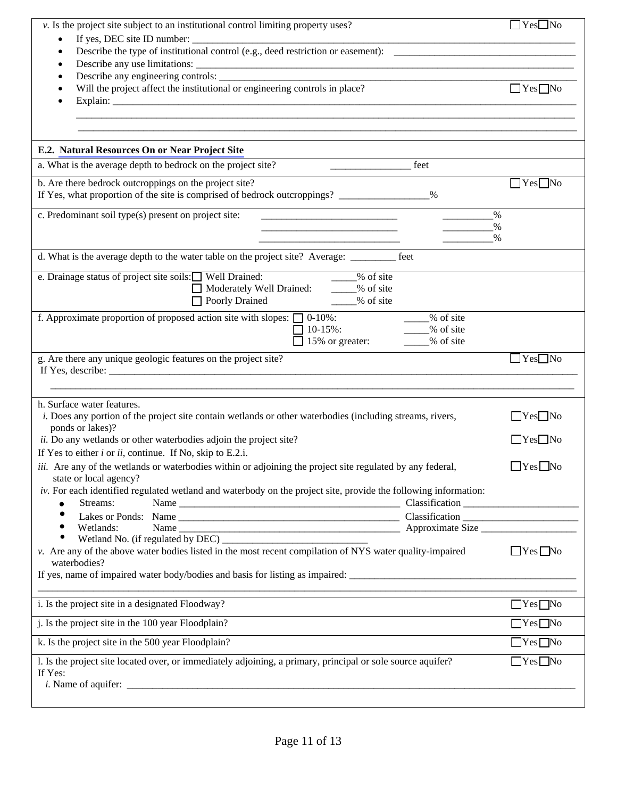| v. Is the project site subject to an institutional control limiting property uses?                                                        | $\Box$ Yes $\Box$ No |
|-------------------------------------------------------------------------------------------------------------------------------------------|----------------------|
| ٠                                                                                                                                         |                      |
| $\bullet$                                                                                                                                 |                      |
|                                                                                                                                           |                      |
| Will the project affect the institutional or engineering controls in place?                                                               | $\Box$ Yes $\Box$ No |
|                                                                                                                                           |                      |
|                                                                                                                                           |                      |
|                                                                                                                                           |                      |
| E.2. Natural Resources On or Near Project Site                                                                                            |                      |
| a. What is the average depth to bedrock on the project site?<br>feet                                                                      |                      |
| b. Are there bedrock outcroppings on the project site?                                                                                    | $\Box$ Yes $\Box$ No |
| If Yes, what proportion of the site is comprised of bedrock outcroppings? ______________%                                                 |                      |
| c. Predominant soil type(s) present on project site:                                                                                      | $\%$                 |
| the contract of the contract of the contract of the contract of the contract of                                                           | %<br>$\%$            |
|                                                                                                                                           |                      |
| d. What is the average depth to the water table on the project site? Average: ________<br>feet                                            |                      |
| e. Drainage status of project site soils: U Well Drained:<br>____% of site                                                                |                      |
| Moderately Well Drained: 36 % of site                                                                                                     |                      |
| □ Poorly Drained 2% of site                                                                                                               |                      |
| f. Approximate proportion of proposed action site with slopes: $\Box$ 0-10%:<br>% of site<br>% of site<br>$10-15%$ :                      |                      |
| 15% or greater:<br>% of site                                                                                                              |                      |
| g. Are there any unique geologic features on the project site?                                                                            | $\Box$ Yes $\Box$ No |
|                                                                                                                                           |                      |
|                                                                                                                                           |                      |
|                                                                                                                                           |                      |
| h. Surface water features.<br>i. Does any portion of the project site contain wetlands or other waterbodies (including streams, rivers,   | $\Box$ Yes $\Box$ No |
| ponds or lakes)?                                                                                                                          |                      |
| ii. Do any wetlands or other waterbodies adjoin the project site?                                                                         | $\Box$ Yes $\Box$ No |
| If Yes to either $i$ or $ii$ , continue. If No, skip to E.2.i.                                                                            |                      |
| <i>iii.</i> Are any of the wetlands or waterbodies within or adjoining the project site regulated by any federal,                         | $\Box$ Yes $\Box$ No |
| state or local agency?<br>iv. For each identified regulated wetland and waterbody on the project site, provide the following information: |                      |
| Streams:<br>$\bullet$                                                                                                                     |                      |
|                                                                                                                                           |                      |
| Wetlands:<br>٠<br>$\bullet$                                                                                                               |                      |
| v. Are any of the above water bodies listed in the most recent compilation of NYS water quality-impaired                                  | $\Box$ Yes $\Box$ No |
| waterbodies?                                                                                                                              |                      |
|                                                                                                                                           |                      |
| i. Is the project site in a designated Floodway?                                                                                          | $\Box$ Yes $\Box$ No |
|                                                                                                                                           |                      |
| j. Is the project site in the 100 year Floodplain?                                                                                        | $\Box$ Yes $\Box$ No |
| k. Is the project site in the 500 year Floodplain?                                                                                        | $\Box$ Yes $\Box$ No |
| l. Is the project site located over, or immediately adjoining, a primary, principal or sole source aquifer?<br>If Yes:                    | $\Box$ Yes $\Box$ No |
|                                                                                                                                           |                      |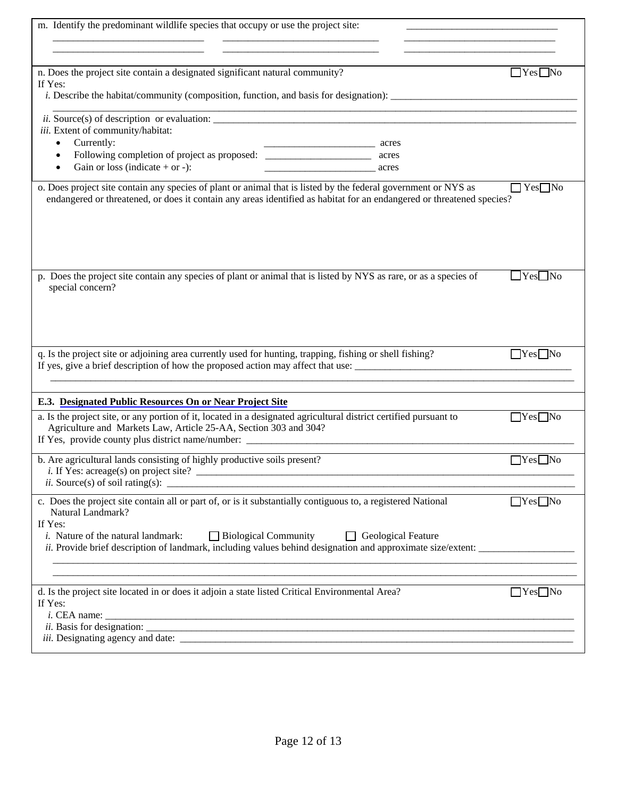| m. Identify the predominant wildlife species that occupy or use the project site:                                                 |                      |
|-----------------------------------------------------------------------------------------------------------------------------------|----------------------|
|                                                                                                                                   |                      |
|                                                                                                                                   |                      |
| n. Does the project site contain a designated significant natural community?<br>If Yes:                                           | $\Box$ Yes $\Box$ No |
|                                                                                                                                   |                      |
| iii. Extent of community/habitat:                                                                                                 |                      |
| Currently:<br>٠<br>acres                                                                                                          |                      |
| $\bullet$                                                                                                                         |                      |
| Gain or loss (indicate $+$ or $-$ ):<br>$\bullet$<br><u>acres</u>                                                                 |                      |
| o. Does project site contain any species of plant or animal that is listed by the federal government or NYS as                    | $\Box$ Yes $\Box$ No |
| endangered or threatened, or does it contain any areas identified as habitat for an endangered or threatened species?             |                      |
| p. Does the project site contain any species of plant or animal that is listed by NYS as rare, or as a species of                 | $\Box$ Yes $\Box$ No |
| special concern?                                                                                                                  |                      |
|                                                                                                                                   |                      |
|                                                                                                                                   |                      |
|                                                                                                                                   |                      |
|                                                                                                                                   |                      |
| q. Is the project site or adjoining area currently used for hunting, trapping, fishing or shell fishing?                          | $Yes$ No             |
| If yes, give a brief description of how the proposed action may affect that use:                                                  |                      |
|                                                                                                                                   |                      |
| E.3. Designated Public Resources On or Near Project Site                                                                          |                      |
| a. Is the project site, or any portion of it, located in a designated agricultural district certified pursuant to                 | $\Box$ Yes $\Box$ No |
| Agriculture and Markets Law, Article 25-AA, Section 303 and 304?                                                                  |                      |
| If Yes, provide county plus district name/number: ______________________________                                                  |                      |
| b. Are agricultural lands consisting of highly productive soils present?                                                          | $\Box$ Yes $\Box$ No |
| <i>i.</i> If Yes: $\text{arcage(s)}$ on project site?                                                                             |                      |
| $ii. Source(s)$ of soil rating(s): $\qquad \qquad \qquad$                                                                         |                      |
| c. Does the project site contain all or part of, or is it substantially contiguous to, a registered National<br>Natural Landmark? | $Yes$ No             |
| If Yes:                                                                                                                           |                      |
| <i>i.</i> Nature of the natural landmark:<br>□ Biological Community □ Geological Feature                                          |                      |
| <i>ii.</i> Provide brief description of landmark, including values behind designation and approximate size/extent:                |                      |
|                                                                                                                                   |                      |
|                                                                                                                                   |                      |
| d. Is the project site located in or does it adjoin a state listed Critical Environmental Area?                                   | $Yes$ No             |
| If Yes:                                                                                                                           |                      |
|                                                                                                                                   |                      |
|                                                                                                                                   |                      |
|                                                                                                                                   |                      |